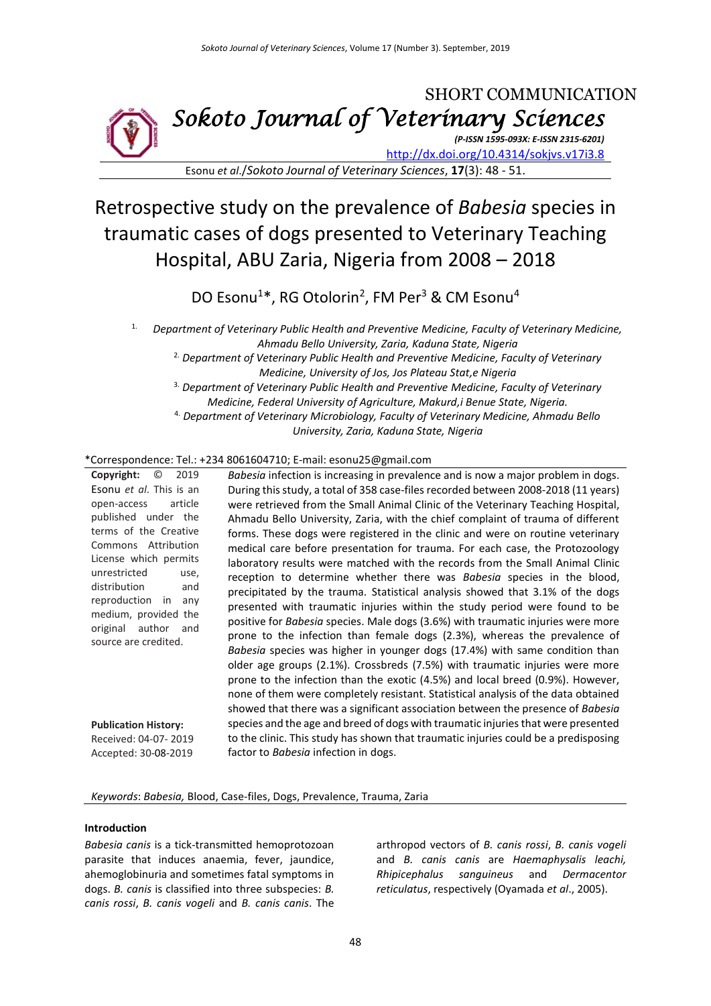

Esonu *et al*./*Sokoto Journal of Veterinary Sciences*, **17**(3): 48 - 51.

# Retrospective study on the prevalence of *Babesia* species in traumatic cases of dogs presented to Veterinary Teaching Hospital, ABU Zaria, Nigeria from 2008 – 2018

DO Esonu<sup>1\*</sup>, RG Otolorin<sup>2</sup>, FM Per<sup>3</sup> & CM Esonu<sup>4</sup>

1. *Department of Veterinary Public Health and Preventive Medicine, Faculty of Veterinary Medicine, Ahmadu Bello University, Zaria, Kaduna State, Nigeria*

2. *Department of Veterinary Public Health and Preventive Medicine, Faculty of Veterinary Medicine, University of Jos, Jos Plateau Stat,e Nigeria*

3. *Department of Veterinary Public Health and Preventive Medicine, Faculty of Veterinary Medicine, Federal University of Agriculture, Makurd,i Benue State, Nigeria.*

4. *Department of Veterinary Microbiology, Faculty of Veterinary Medicine, Ahmadu Bello* 

*University, Zaria, Kaduna State, Nigeria*

#### \*Correspondence: Tel.: +234 8061604710; E-mail: esonu25@gmail.com

**Copyright:** © 2019 Esonu *et al*. This is an open-access article published under the terms of the Creative Commons Attribution License which permits unrestricted use, distribution and reproduction in any medium, provided the original author and source are credited. **Publication History:**  Received: 04-07- 2019 Accepted: 30-08-2019 *Babesia* infection is increasing in prevalence and is now a major problem in dogs. During this study, a total of 358 case-files recorded between 2008-2018 (11 years) were retrieved from the Small Animal Clinic of the Veterinary Teaching Hospital, Ahmadu Bello University, Zaria, with the chief complaint of trauma of different forms. These dogs were registered in the clinic and were on routine veterinary medical care before presentation for trauma. For each case, the Protozoology laboratory results were matched with the records from the Small Animal Clinic reception to determine whether there was *Babesia* species in the blood, precipitated by the trauma. Statistical analysis showed that 3.1% of the dogs presented with traumatic injuries within the study period were found to be positive for *Babesia* species. Male dogs (3.6%) with traumatic injuries were more prone to the infection than female dogs (2.3%), whereas the prevalence of *Babesia* species was higher in younger dogs (17.4%) with same condition than older age groups (2.1%). Crossbreds (7.5%) with traumatic injuries were more prone to the infection than the exotic (4.5%) and local breed (0.9%). However, none of them were completely resistant. Statistical analysis of the data obtained showed that there was a significant association between the presence of *Babesia* species and the age and breed of dogs with traumatic injuries that were presented to the clinic. This study has shown that traumatic injuries could be a predisposing factor to *Babesia* infection in dogs.

#### *Keywords*: *Babesia,* Blood, Case-files, Dogs, Prevalence, Trauma, Zaria

#### **Introduction**

*Babesia canis* is a tick-transmitted hemoprotozoan parasite that induces anaemia, fever, jaundice, ahemoglobinuria and sometimes fatal symptoms in dogs. *B. canis* is classified into three subspecies: *B. canis rossi*, *B. canis vogeli* and *B. canis canis*. The arthropod vectors of *B. canis rossi*, *B. canis vogeli* and *B. canis canis* are *Haemaphysalis leachi, Rhipicephalus sanguineus* and *Dermacentor reticulatus*, respectively (Oyamada *et al*., 2005).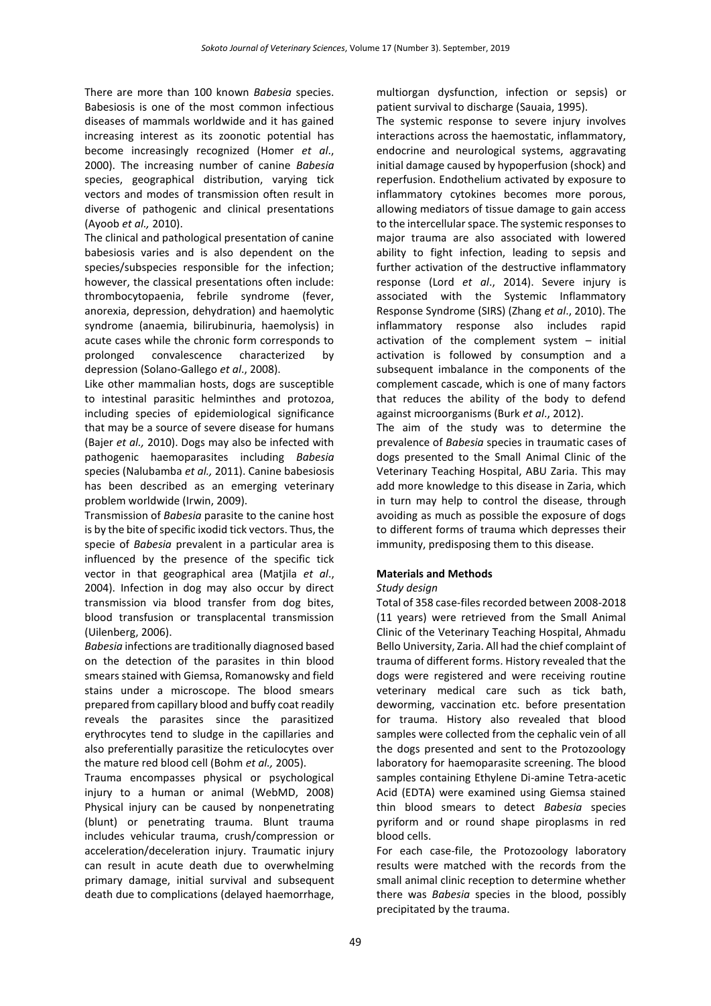There are more than 100 known *Babesia* species. Babesiosis is one of the most common infectious diseases of mammals worldwide and it has gained increasing interest as its zoonotic potential has become increasingly recognized (Homer *et al*., 2000). The increasing number of canine *Babesia* species, geographical distribution, varying tick vectors and modes of transmission often result in diverse of pathogenic and clinical presentations (Ayoob *et al.,* 2010).

The clinical and pathological presentation of canine babesiosis varies and is also dependent on the species/subspecies responsible for the infection; however, the classical presentations often include: thrombocytopaenia, febrile syndrome (fever, anorexia, depression, dehydration) and haemolytic syndrome (anaemia, bilirubinuria, haemolysis) in acute cases while the chronic form corresponds to prolonged convalescence characterized by depression (Solano-Gallego *et al*., 2008).

Like other mammalian hosts, dogs are susceptible to intestinal parasitic helminthes and protozoa, including species of epidemiological significance that may be a source of severe disease for humans (Bajer *et al.,* 2010). Dogs may also be infected with pathogenic haemoparasites including *Babesia* species (Nalubamba *et al.,* 2011). Canine babesiosis has been described as an emerging veterinary problem worldwide (Irwin, 2009).

Transmission of *Babesia* parasite to the canine host is by the bite of specific ixodid tick vectors. Thus, the specie of *Babesia* prevalent in a particular area is influenced by the presence of the specific tick vector in that geographical area (Matjila *et al*., 2004). Infection in dog may also occur by direct transmission via blood transfer from dog bites, blood transfusion or transplacental transmission (Uilenberg, 2006).

*Babesia* infections are traditionally diagnosed based on the detection of the parasites in thin blood smears stained with Giemsa, Romanowsky and field stains under a microscope. The blood smears prepared from capillary blood and buffy coat readily reveals the parasites since the parasitized erythrocytes tend to sludge in the capillaries and also preferentially parasitize the reticulocytes over the mature red blood cell (Bohm *et al.,* 2005).

Trauma encompasses physical or psychological injury to a human or animal (WebMD, 2008) Physical injury can be caused by nonpenetrating (blunt) or penetrating trauma. Blunt trauma includes vehicular trauma, crush/compression or acceleration/deceleration injury. Traumatic injury can result in acute death due to overwhelming primary damage, initial survival and subsequent death due to complications (delayed haemorrhage,

multiorgan dysfunction, infection or sepsis) or patient survival to discharge (Sauaia, 1995).

The systemic response to severe injury involves interactions across the haemostatic, inflammatory, endocrine and neurological systems, aggravating initial damage caused by hypoperfusion (shock) and reperfusion. Endothelium activated by exposure to inflammatory cytokines becomes more porous, allowing mediators of tissue damage to gain access to the intercellular space. The systemic responses to major trauma are also associated with lowered ability to fight infection, leading to sepsis and further activation of the destructive inflammatory response (Lord *et al*., 2014). Severe injury is associated with the Systemic Inflammatory Response Syndrome (SIRS) (Zhang *et al*., 2010). The inflammatory response also includes rapid activation of the complement system – initial activation is followed by consumption and a subsequent imbalance in the components of the complement cascade, which is one of many factors that reduces the ability of the body to defend against microorganisms (Burk *et al*., 2012).

The aim of the study was to determine the prevalence of *Babesia* species in traumatic cases of dogs presented to the Small Animal Clinic of the Veterinary Teaching Hospital, ABU Zaria. This may add more knowledge to this disease in Zaria, which in turn may help to control the disease, through avoiding as much as possible the exposure of dogs to different forms of trauma which depresses their immunity, predisposing them to this disease.

# **Materials and Methods**

## *Study design*

Total of 358 case-files recorded between 2008-2018 (11 years) were retrieved from the Small Animal Clinic of the Veterinary Teaching Hospital, Ahmadu Bello University, Zaria. All had the chief complaint of trauma of different forms. History revealed that the dogs were registered and were receiving routine veterinary medical care such as tick bath, deworming, vaccination etc. before presentation for trauma. History also revealed that blood samples were collected from the cephalic vein of all the dogs presented and sent to the Protozoology laboratory for haemoparasite screening. The blood samples containing Ethylene Di-amine Tetra-acetic Acid (EDTA) were examined using Giemsa stained thin blood smears to detect *Babesia* species pyriform and or round shape piroplasms in red blood cells.

For each case-file, the Protozoology laboratory results were matched with the records from the small animal clinic reception to determine whether there was *Babesia* species in the blood, possibly precipitated by the trauma.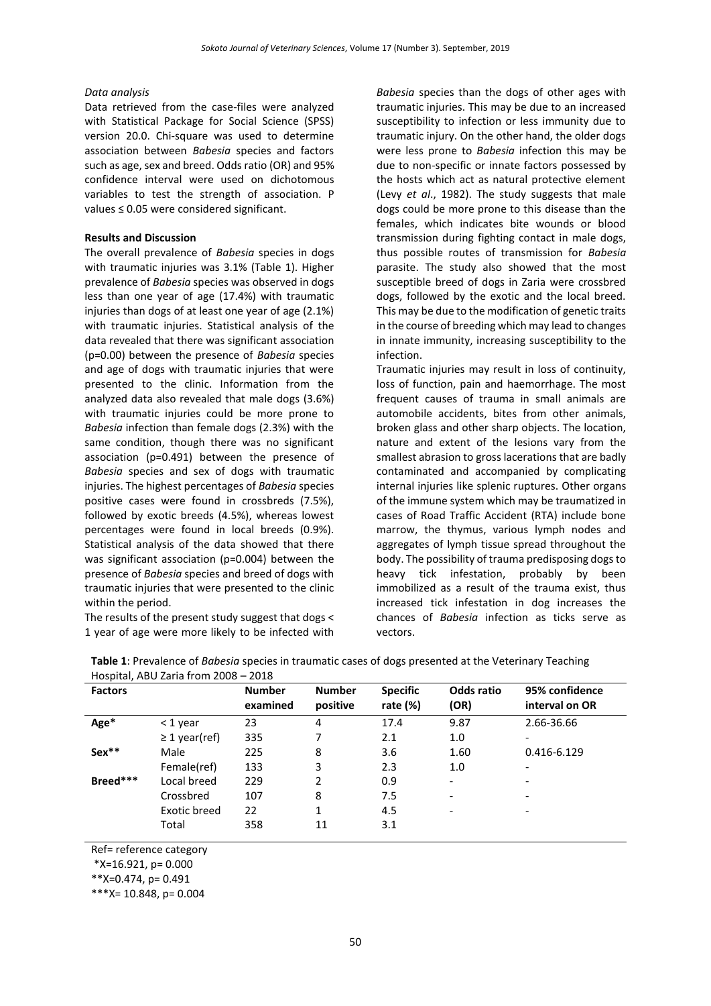#### *Data analysis*

Data retrieved from the case-files were analyzed with Statistical Package for Social Science (SPSS) version 20.0. Chi-square was used to determine association between *Babesia* species and factors such as age, sex and breed. Odds ratio (OR) and 95% confidence interval were used on dichotomous variables to test the strength of association. P values ≤ 0.05 were considered significant.

### **Results and Discussion**

The overall prevalence of *Babesia* species in dogs with traumatic injuries was 3.1% (Table 1). Higher prevalence of *Babesia* species was observed in dogs less than one year of age (17.4%) with traumatic injuries than dogs of at least one year of age (2.1%) with traumatic injuries. Statistical analysis of the data revealed that there was significant association (p=0.00) between the presence of *Babesia* species and age of dogs with traumatic injuries that were presented to the clinic. Information from the analyzed data also revealed that male dogs (3.6%) with traumatic injuries could be more prone to *Babesia* infection than female dogs (2.3%) with the same condition, though there was no significant association (p=0.491) between the presence of *Babesia* species and sex of dogs with traumatic injuries. The highest percentages of *Babesia* species positive cases were found in crossbreds (7.5%), followed by exotic breeds (4.5%), whereas lowest percentages were found in local breeds (0.9%). Statistical analysis of the data showed that there was significant association (p=0.004) between the presence of *Babesia* species and breed of dogs with traumatic injuries that were presented to the clinic within the period.

The results of the present study suggest that dogs < 1 year of age were more likely to be infected with

*Babesia* species than the dogs of other ages with traumatic injuries. This may be due to an increased susceptibility to infection or less immunity due to traumatic injury. On the other hand, the older dogs were less prone to *Babesia* infection this may be due to non-specific or innate factors possessed by the hosts which act as natural protective element (Levy *et al*., 1982). The study suggests that male dogs could be more prone to this disease than the females, which indicates bite wounds or blood transmission during fighting contact in male dogs, thus possible routes of transmission for *Babesia* parasite. The study also showed that the most susceptible breed of dogs in Zaria were crossbred dogs, followed by the exotic and the local breed. This may be due to the modification of genetic traits in the course of breeding which may lead to changes in innate immunity, increasing susceptibility to the infection.

Traumatic injuries may result in loss of continuity, loss of function, pain and haemorrhage. The most frequent causes of trauma in small animals are automobile accidents, bites from other animals, broken glass and other sharp objects. The location, nature and extent of the lesions vary from the smallest abrasion to gross lacerations that are badly contaminated and accompanied by complicating internal injuries like splenic ruptures. Other organs of the immune system which may be traumatized in cases of Road Traffic Accident (RTA) include bone marrow, the thymus, various lymph nodes and aggregates of lymph tissue spread throughout the body. The possibility of trauma predisposing dogs to heavy tick infestation, probably by been immobilized as a result of the trauma exist, thus increased tick infestation in dog increases the chances of *Babesia* infection as ticks serve as vectors.

| <b>Factors</b> |                    | <b>Number</b><br>examined | <b>Number</b><br>positive | <b>Specific</b><br>rate $(\%)$ | Odds ratio<br>(OR)       | 95% confidence<br>interval on OR |
|----------------|--------------------|---------------------------|---------------------------|--------------------------------|--------------------------|----------------------------------|
| Age*           | $<$ 1 year         | 23                        | 4                         | 17.4                           | 9.87                     | 2.66-36.66                       |
|                | $\geq$ 1 year(ref) | 335                       | 7                         | 2.1                            | 1.0                      |                                  |
| $Sex***$       | Male               | 225                       | 8                         | 3.6                            | 1.60                     | 0.416-6.129                      |
|                | Female(ref)        | 133                       | 3                         | 2.3                            | 1.0                      |                                  |
| Breed***       | Local breed        | 229                       | 2                         | 0.9                            | $\overline{\phantom{a}}$ |                                  |
|                | Crossbred          | 107                       | 8                         | 7.5                            | $\overline{\phantom{a}}$ |                                  |
|                | Exotic breed       | 22                        | 1                         | 4.5                            | $\overline{\phantom{a}}$ |                                  |
|                | Total              | 358                       | 11                        | 3.1                            |                          |                                  |

**Table 1**: Prevalence of *Babesia* species in traumatic cases of dogs presented at the Veterinary Teaching Hospital, ABU Zaria from 2008 – 2018

Ref= reference category

 $*X=16.921$ , p= 0.000

\*\*X=0.474, p= 0.491

\*\*\*X= 10.848, p= 0.004